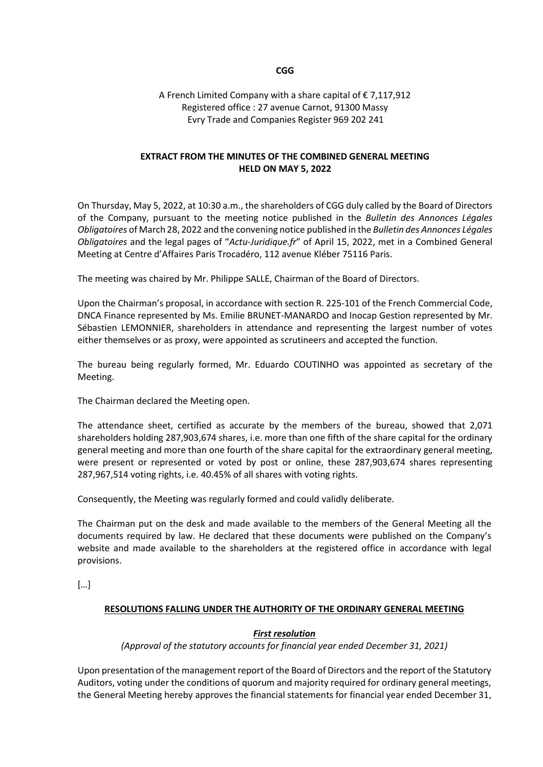### **CGG**

### A French Limited Company with a share capital of € 7,117,912 Registered office : 27 avenue Carnot, 91300 Massy Evry Trade and Companies Register 969 202 241

### **EXTRACT FROM THE MINUTES OF THE COMBINED GENERAL MEETING HELD ON MAY 5, 2022**

On Thursday, May 5, 2022, at 10:30 a.m., the shareholders of CGG duly called by the Board of Directors of the Company, pursuant to the meeting notice published in the *Bulletin des Annonces Légales Obligatoires* of March 28, 2022 and the convening notice published in the *Bulletin des Annonces Légales Obligatoires* and the legal pages of "*Actu-Juridique.fr*" of April 15, 2022, met in a Combined General Meeting at Centre d'Affaires Paris Trocadéro, 112 avenue Kléber 75116 Paris.

The meeting was chaired by Mr. Philippe SALLE, Chairman of the Board of Directors.

Upon the Chairman's proposal, in accordance with section R. 225-101 of the French Commercial Code, DNCA Finance represented by Ms. Emilie BRUNET-MANARDO and Inocap Gestion represented by Mr. Sébastien LEMONNIER, shareholders in attendance and representing the largest number of votes either themselves or as proxy, were appointed as scrutineers and accepted the function.

The bureau being regularly formed, Mr. Eduardo COUTINHO was appointed as secretary of the Meeting.

The Chairman declared the Meeting open.

The attendance sheet, certified as accurate by the members of the bureau, showed that 2,071 shareholders holding 287,903,674 shares, i.e. more than one fifth of the share capital for the ordinary general meeting and more than one fourth of the share capital for the extraordinary general meeting, were present or represented or voted by post or online, these 287,903,674 shares representing 287,967,514 voting rights, i.e. 40.45% of all shares with voting rights.

Consequently, the Meeting was regularly formed and could validly deliberate.

The Chairman put on the desk and made available to the members of the General Meeting all the documents required by law. He declared that these documents were published on the Company's website and made available to the shareholders at the registered office in accordance with legal provisions.

[…]

### **RESOLUTIONS FALLING UNDER THE AUTHORITY OF THE ORDINARY GENERAL MEETING**

### *First resolution*

### *(Approval of the statutory accounts for financial year ended December 31, 2021)*

Upon presentation of the management report of the Board of Directors and the report of the Statutory Auditors, voting under the conditions of quorum and majority required for ordinary general meetings, the General Meeting hereby approves the financial statements for financial year ended December 31,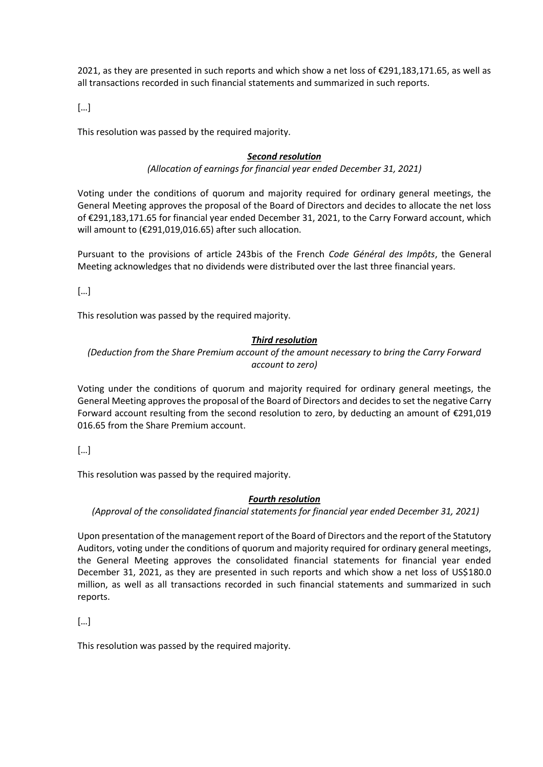2021, as they are presented in such reports and which show a net loss of €291,183,171.65, as well as all transactions recorded in such financial statements and summarized in such reports.

[…]

This resolution was passed by the required majority.

### *Second resolution*

*(Allocation of earnings for financial year ended December 31, 2021)*

Voting under the conditions of quorum and majority required for ordinary general meetings, the General Meeting approves the proposal of the Board of Directors and decides to allocate the net loss of €291,183,171.65 for financial year ended December 31, 2021, to the Carry Forward account, which will amount to (€291,019,016.65) after such allocation.

Pursuant to the provisions of article 243bis of the French *Code Général des Impôts*, the General Meeting acknowledges that no dividends were distributed over the last three financial years.

[…]

This resolution was passed by the required majority.

### *Third resolution*

*(Deduction from the Share Premium account of the amount necessary to bring the Carry Forward account to zero)*

Voting under the conditions of quorum and majority required for ordinary general meetings, the General Meeting approves the proposal of the Board of Directors and decides to set the negative Carry Forward account resulting from the second resolution to zero, by deducting an amount of €291,019 016.65 from the Share Premium account.

[…]

This resolution was passed by the required majority.

### *Fourth resolution*

*(Approval of the consolidated financial statements for financial year ended December 31, 2021)*

Upon presentation of the management report of the Board of Directors and the report of the Statutory Auditors, voting under the conditions of quorum and majority required for ordinary general meetings, the General Meeting approves the consolidated financial statements for financial year ended December 31, 2021, as they are presented in such reports and which show a net loss of US\$180.0 million, as well as all transactions recorded in such financial statements and summarized in such reports.

[…]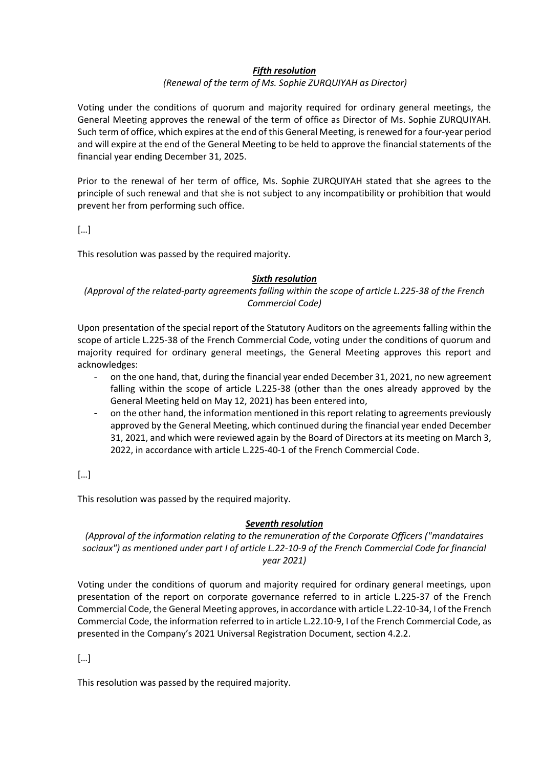### *Fifth resolution*

### *(Renewal of the term of Ms. Sophie ZURQUIYAH as Director)*

Voting under the conditions of quorum and majority required for ordinary general meetings, the General Meeting approves the renewal of the term of office as Director of Ms. Sophie ZURQUIYAH. Such term of office, which expires at the end of this General Meeting, is renewed for a four-year period and will expire at the end of the General Meeting to be held to approve the financial statements of the financial year ending December 31, 2025.

Prior to the renewal of her term of office, Ms. Sophie ZURQUIYAH stated that she agrees to the principle of such renewal and that she is not subject to any incompatibility or prohibition that would prevent her from performing such office.

[…]

This resolution was passed by the required majority.

### *Sixth resolution*

### *(Approval of the related-party agreements falling within the scope of article L.225-38 of the French Commercial Code)*

Upon presentation of the special report of the Statutory Auditors on the agreements falling within the scope of article L.225-38 of the French Commercial Code, voting under the conditions of quorum and majority required for ordinary general meetings, the General Meeting approves this report and acknowledges:

- on the one hand, that, during the financial year ended December 31, 2021, no new agreement falling within the scope of article L.225-38 (other than the ones already approved by the General Meeting held on May 12, 2021) has been entered into,
- on the other hand, the information mentioned in this report relating to agreements previously approved by the General Meeting, which continued during the financial year ended December 31, 2021, and which were reviewed again by the Board of Directors at its meeting on March 3, 2022, in accordance with article L.225-40-1 of the French Commercial Code.

[…]

This resolution was passed by the required majority.

### *Seventh resolution*

*(Approval of the information relating to the remuneration of the Corporate Officers ("mandataires sociaux") as mentioned under part I of article L.22-10-9 of the French Commercial Code for financial year 2021)*

Voting under the conditions of quorum and majority required for ordinary general meetings, upon presentation of the report on corporate governance referred to in article L.225-37 of the French Commercial Code, the General Meeting approves, in accordance with article L.22-10-34, I of the French Commercial Code, the information referred to in article L.22.10-9, I of the French Commercial Code, as presented in the Company's 2021 Universal Registration Document, section 4.2.2.

[…]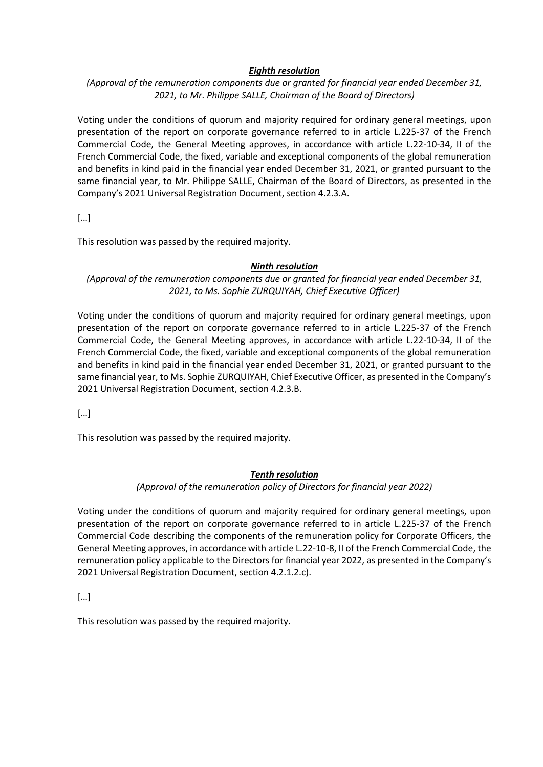### *Eighth resolution*

*(Approval of the remuneration components due or granted for financial year ended December 31, 2021, to Mr. Philippe SALLE, Chairman of the Board of Directors)*

Voting under the conditions of quorum and majority required for ordinary general meetings, upon presentation of the report on corporate governance referred to in article L.225-37 of the French Commercial Code, the General Meeting approves, in accordance with article L.22-10-34, II of the French Commercial Code, the fixed, variable and exceptional components of the global remuneration and benefits in kind paid in the financial year ended December 31, 2021, or granted pursuant to the same financial year, to Mr. Philippe SALLE, Chairman of the Board of Directors, as presented in the Company's 2021 Universal Registration Document, section 4.2.3.A.

[…]

This resolution was passed by the required majority.

### *Ninth resolution*

*(Approval of the remuneration components due or granted for financial year ended December 31, 2021, to Ms. Sophie ZURQUIYAH, Chief Executive Officer)*

Voting under the conditions of quorum and majority required for ordinary general meetings, upon presentation of the report on corporate governance referred to in article L.225-37 of the French Commercial Code, the General Meeting approves, in accordance with article L.22-10-34, II of the French Commercial Code, the fixed, variable and exceptional components of the global remuneration and benefits in kind paid in the financial year ended December 31, 2021, or granted pursuant to the same financial year, to Ms. Sophie ZURQUIYAH, Chief Executive Officer, as presented in the Company's 2021 Universal Registration Document, section 4.2.3.B.

[…]

This resolution was passed by the required majority.

### *Tenth resolution*

*(Approval of the remuneration policy of Directors for financial year 2022)* 

Voting under the conditions of quorum and majority required for ordinary general meetings, upon presentation of the report on corporate governance referred to in article L.225-37 of the French Commercial Code describing the components of the remuneration policy for Corporate Officers, the General Meeting approves, in accordance with article L.22-10-8, II of the French Commercial Code, the remuneration policy applicable to the Directors for financial year 2022, as presented in the Company's 2021 Universal Registration Document, section 4.2.1.2.c).

[…]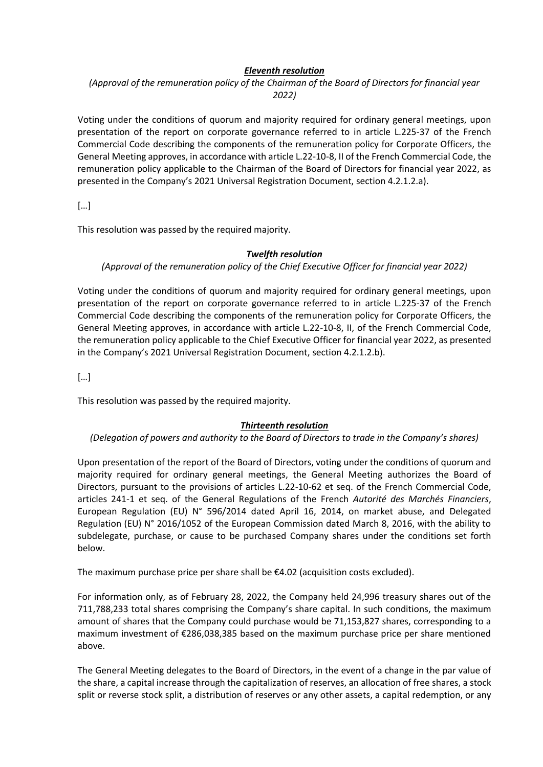### *Eleventh resolution*

## *(Approval of the remuneration policy of the Chairman of the Board of Directors for financial year 2022)*

Voting under the conditions of quorum and majority required for ordinary general meetings, upon presentation of the report on corporate governance referred to in article L.225-37 of the French Commercial Code describing the components of the remuneration policy for Corporate Officers, the General Meeting approves, in accordance with article L.22-10-8, II of the French Commercial Code, the remuneration policy applicable to the Chairman of the Board of Directors for financial year 2022, as presented in the Company's 2021 Universal Registration Document, section 4.2.1.2.a).

[…]

This resolution was passed by the required majority.

### *Twelfth resolution*

### *(Approval of the remuneration policy of the Chief Executive Officer for financial year 2022)*

Voting under the conditions of quorum and majority required for ordinary general meetings, upon presentation of the report on corporate governance referred to in article L.225-37 of the French Commercial Code describing the components of the remuneration policy for Corporate Officers, the General Meeting approves, in accordance with article L.22-10-8, II, of the French Commercial Code, the remuneration policy applicable to the Chief Executive Officer for financial year 2022, as presented in the Company's 2021 Universal Registration Document, section 4.2.1.2.b).

[…]

This resolution was passed by the required majority.

### *Thirteenth resolution*

### *(Delegation of powers and authority to the Board of Directors to trade in the Company's shares)*

Upon presentation of the report of the Board of Directors, voting under the conditions of quorum and majority required for ordinary general meetings, the General Meeting authorizes the Board of Directors, pursuant to the provisions of articles L.22-10-62 et seq. of the French Commercial Code, articles 241-1 et seq. of the General Regulations of the French *Autorité des Marchés Financiers*, European Regulation (EU) N° 596/2014 dated April 16, 2014, on market abuse, and Delegated Regulation (EU) N° 2016/1052 of the European Commission dated March 8, 2016, with the ability to subdelegate, purchase, or cause to be purchased Company shares under the conditions set forth below.

The maximum purchase price per share shall be €4.02 (acquisition costs excluded).

For information only, as of February 28, 2022, the Company held 24,996 treasury shares out of the 711,788,233 total shares comprising the Company's share capital. In such conditions, the maximum amount of shares that the Company could purchase would be 71,153,827 shares, corresponding to a maximum investment of €286,038,385 based on the maximum purchase price per share mentioned above.

The General Meeting delegates to the Board of Directors, in the event of a change in the par value of the share, a capital increase through the capitalization of reserves, an allocation of free shares, a stock split or reverse stock split, a distribution of reserves or any other assets, a capital redemption, or any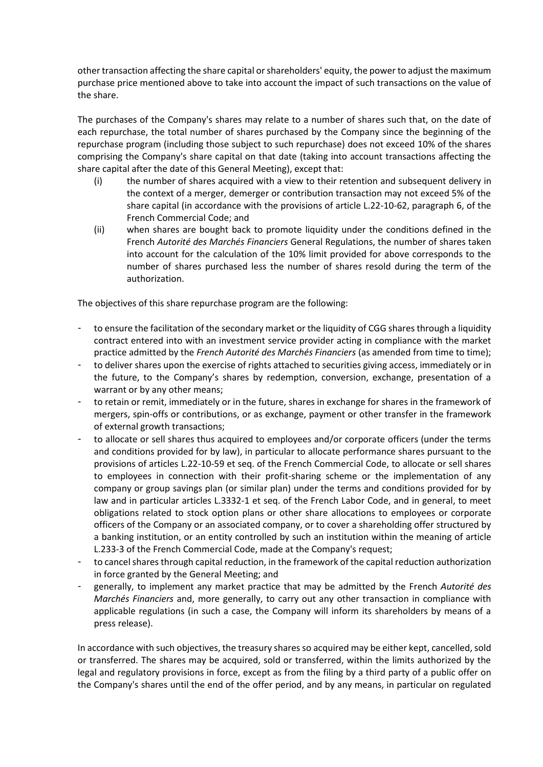other transaction affecting the share capital or shareholders' equity, the power to adjust the maximum purchase price mentioned above to take into account the impact of such transactions on the value of the share.

The purchases of the Company's shares may relate to a number of shares such that, on the date of each repurchase, the total number of shares purchased by the Company since the beginning of the repurchase program (including those subject to such repurchase) does not exceed 10% of the shares comprising the Company's share capital on that date (taking into account transactions affecting the share capital after the date of this General Meeting), except that:

- (i) the number of shares acquired with a view to their retention and subsequent delivery in the context of a merger, demerger or contribution transaction may not exceed 5% of the share capital (in accordance with the provisions of article L.22-10-62, paragraph 6, of the French Commercial Code; and
- (ii) when shares are bought back to promote liquidity under the conditions defined in the French *Autorité des Marchés Financiers* General Regulations, the number of shares taken into account for the calculation of the 10% limit provided for above corresponds to the number of shares purchased less the number of shares resold during the term of the authorization.

The objectives of this share repurchase program are the following:

- to ensure the facilitation of the secondary market or the liquidity of CGG shares through a liquidity contract entered into with an investment service provider acting in compliance with the market practice admitted by the *French Autorité des Marchés Financiers* (as amended from time to time);
- to deliver shares upon the exercise of rights attached to securities giving access, immediately or in the future, to the Company's shares by redemption, conversion, exchange, presentation of a warrant or by any other means;
- to retain or remit, immediately or in the future, shares in exchange for shares in the framework of mergers, spin-offs or contributions, or as exchange, payment or other transfer in the framework of external growth transactions;
- to allocate or sell shares thus acquired to employees and/or corporate officers (under the terms and conditions provided for by law), in particular to allocate performance shares pursuant to the provisions of articles L.22-10-59 et seq. of the French Commercial Code, to allocate or sell shares to employees in connection with their profit-sharing scheme or the implementation of any company or group savings plan (or similar plan) under the terms and conditions provided for by law and in particular articles L.3332-1 et seq. of the French Labor Code, and in general, to meet obligations related to stock option plans or other share allocations to employees or corporate officers of the Company or an associated company, or to cover a shareholding offer structured by a banking institution, or an entity controlled by such an institution within the meaning of article L.233-3 of the French Commercial Code, made at the Company's request;
- to cancel shares through capital reduction, in the framework of the capital reduction authorization in force granted by the General Meeting; and
- generally, to implement any market practice that may be admitted by the French *Autorité des Marchés Financiers* and, more generally, to carry out any other transaction in compliance with applicable regulations (in such a case, the Company will inform its shareholders by means of a press release).

In accordance with such objectives, the treasury shares so acquired may be either kept, cancelled, sold or transferred. The shares may be acquired, sold or transferred, within the limits authorized by the legal and regulatory provisions in force, except as from the filing by a third party of a public offer on the Company's shares until the end of the offer period, and by any means, in particular on regulated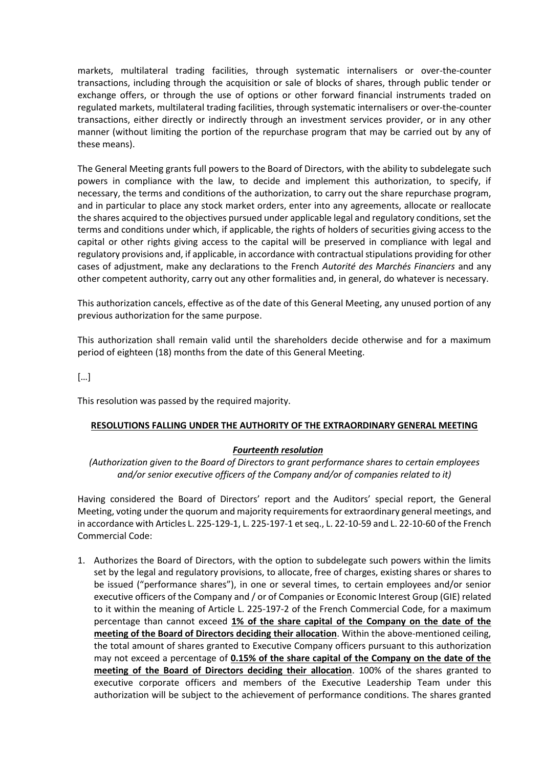markets, multilateral trading facilities, through systematic internalisers or over-the-counter transactions, including through the acquisition or sale of blocks of shares, through public tender or exchange offers, or through the use of options or other forward financial instruments traded on regulated markets, multilateral trading facilities, through systematic internalisers or over-the-counter transactions, either directly or indirectly through an investment services provider, or in any other manner (without limiting the portion of the repurchase program that may be carried out by any of these means).

The General Meeting grants full powers to the Board of Directors, with the ability to subdelegate such powers in compliance with the law, to decide and implement this authorization, to specify, if necessary, the terms and conditions of the authorization, to carry out the share repurchase program, and in particular to place any stock market orders, enter into any agreements, allocate or reallocate the shares acquired to the objectives pursued under applicable legal and regulatory conditions, set the terms and conditions under which, if applicable, the rights of holders of securities giving access to the capital or other rights giving access to the capital will be preserved in compliance with legal and regulatory provisions and, if applicable, in accordance with contractual stipulations providing for other cases of adjustment, make any declarations to the French *Autorité des Marchés Financiers* and any other competent authority, carry out any other formalities and, in general, do whatever is necessary.

This authorization cancels, effective as of the date of this General Meeting, any unused portion of any previous authorization for the same purpose.

This authorization shall remain valid until the shareholders decide otherwise and for a maximum period of eighteen (18) months from the date of this General Meeting.

[…]

This resolution was passed by the required majority.

### **RESOLUTIONS FALLING UNDER THE AUTHORITY OF THE EXTRAORDINARY GENERAL MEETING**

### *Fourteenth resolution*

*(Authorization given to the Board of Directors to grant performance shares to certain employees and/or senior executive officers of the Company and/or of companies related to it)*

Having considered the Board of Directors' report and the Auditors' special report, the General Meeting, voting under the quorum and majority requirements for extraordinary general meetings, and in accordance with Articles L. 225-129-1, L. 225-197-1 et seq., L. 22-10-59 and L. 22-10-60 of the French Commercial Code:

1. Authorizes the Board of Directors, with the option to subdelegate such powers within the limits set by the legal and regulatory provisions, to allocate, free of charges, existing shares or shares to be issued ("performance shares"), in one or several times, to certain employees and/or senior executive officers of the Company and / or of Companies or Economic Interest Group (GIE) related to it within the meaning of Article L. 225-197-2 of the French Commercial Code, for a maximum percentage than cannot exceed **1% of the share capital of the Company on the date of the meeting of the Board of Directors deciding their allocation**. Within the above-mentioned ceiling, the total amount of shares granted to Executive Company officers pursuant to this authorization may not exceed a percentage of **0.15% of the share capital of the Company on the date of the meeting of the Board of Directors deciding their allocation**. 100% of the shares granted to executive corporate officers and members of the Executive Leadership Team under this authorization will be subject to the achievement of performance conditions. The shares granted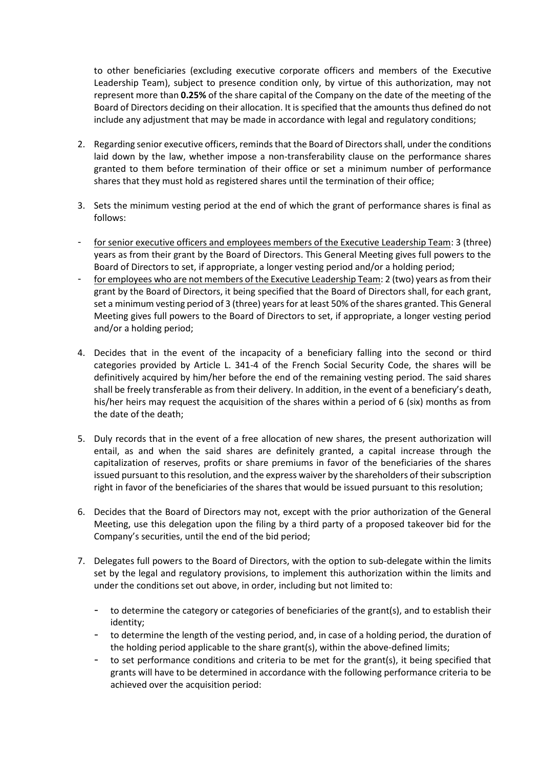to other beneficiaries (excluding executive corporate officers and members of the Executive Leadership Team), subject to presence condition only, by virtue of this authorization, may not represent more than **0.25%** of the share capital of the Company on the date of the meeting of the Board of Directors deciding on their allocation. It is specified that the amounts thus defined do not include any adjustment that may be made in accordance with legal and regulatory conditions;

- 2. Regarding senior executive officers, reminds that the Board of Directors shall, under the conditions laid down by the law, whether impose a non-transferability clause on the performance shares granted to them before termination of their office or set a minimum number of performance shares that they must hold as registered shares until the termination of their office;
- 3. Sets the minimum vesting period at the end of which the grant of performance shares is final as follows:
- for senior executive officers and employees members of the Executive Leadership Team: 3 (three) years as from their grant by the Board of Directors. This General Meeting gives full powers to the Board of Directors to set, if appropriate, a longer vesting period and/or a holding period;
- for employees who are not members of the Executive Leadership Team: 2 (two) years as from their grant by the Board of Directors, it being specified that the Board of Directors shall, for each grant, set a minimum vesting period of 3 (three) years for at least 50% of the shares granted. This General Meeting gives full powers to the Board of Directors to set, if appropriate, a longer vesting period and/or a holding period;
- 4. Decides that in the event of the incapacity of a beneficiary falling into the second or third categories provided by Article L. 341-4 of the French Social Security Code, the shares will be definitively acquired by him/her before the end of the remaining vesting period. The said shares shall be freely transferable as from their delivery. In addition, in the event of a beneficiary's death, his/her heirs may request the acquisition of the shares within a period of 6 (six) months as from the date of the death;
- 5. Duly records that in the event of a free allocation of new shares, the present authorization will entail, as and when the said shares are definitely granted, a capital increase through the capitalization of reserves, profits or share premiums in favor of the beneficiaries of the shares issued pursuant to this resolution, and the express waiver by the shareholders of their subscription right in favor of the beneficiaries of the shares that would be issued pursuant to this resolution;
- 6. Decides that the Board of Directors may not, except with the prior authorization of the General Meeting, use this delegation upon the filing by a third party of a proposed takeover bid for the Company's securities, until the end of the bid period;
- 7. Delegates full powers to the Board of Directors, with the option to sub-delegate within the limits set by the legal and regulatory provisions, to implement this authorization within the limits and under the conditions set out above, in order, including but not limited to:
	- to determine the category or categories of beneficiaries of the grant(s), and to establish their identity;
	- to determine the length of the vesting period, and, in case of a holding period, the duration of the holding period applicable to the share grant(s), within the above-defined limits;
	- to set performance conditions and criteria to be met for the grant(s), it being specified that grants will have to be determined in accordance with the following performance criteria to be achieved over the acquisition period: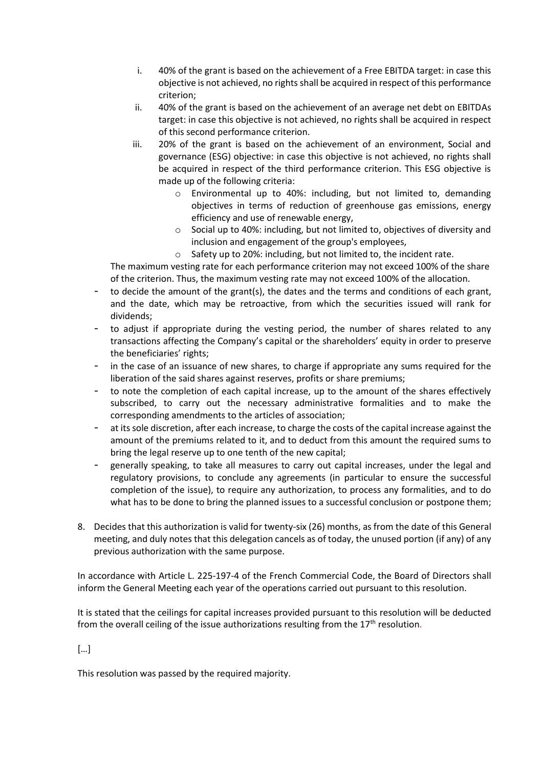- i. 40% of the grant is based on the achievement of a Free EBITDA target: in case this objective is not achieved, no rights shall be acquired in respect of this performance criterion;
- ii. 40% of the grant is based on the achievement of an average net debt on EBITDAs target: in case this objective is not achieved, no rights shall be acquired in respect of this second performance criterion.
- iii. 20% of the grant is based on the achievement of an environment, Social and governance (ESG) objective: in case this objective is not achieved, no rights shall be acquired in respect of the third performance criterion. This ESG objective is made up of the following criteria:
	- o Environmental up to 40%: including, but not limited to, demanding objectives in terms of reduction of greenhouse gas emissions, energy efficiency and use of renewable energy,
	- o Social up to 40%: including, but not limited to, objectives of diversity and inclusion and engagement of the group's employees,
	- o Safety up to 20%: including, but not limited to, the incident rate.

The maximum vesting rate for each performance criterion may not exceed 100% of the share of the criterion. Thus, the maximum vesting rate may not exceed 100% of the allocation.

- to decide the amount of the grant(s), the dates and the terms and conditions of each grant, and the date, which may be retroactive, from which the securities issued will rank for dividends;
- to adjust if appropriate during the vesting period, the number of shares related to any transactions affecting the Company's capital or the shareholders' equity in order to preserve the beneficiaries' rights;
- in the case of an issuance of new shares, to charge if appropriate any sums required for the liberation of the said shares against reserves, profits or share premiums;
- to note the completion of each capital increase, up to the amount of the shares effectively subscribed, to carry out the necessary administrative formalities and to make the corresponding amendments to the articles of association;
- at its sole discretion, after each increase, to charge the costs of the capital increase against the amount of the premiums related to it, and to deduct from this amount the required sums to bring the legal reserve up to one tenth of the new capital;
- generally speaking, to take all measures to carry out capital increases, under the legal and regulatory provisions, to conclude any agreements (in particular to ensure the successful completion of the issue), to require any authorization, to process any formalities, and to do what has to be done to bring the planned issues to a successful conclusion or postpone them;
- 8. Decides that this authorization is valid for twenty-six (26) months, as from the date of this General meeting, and duly notes that this delegation cancels as of today, the unused portion (if any) of any previous authorization with the same purpose.

In accordance with Article L. 225-197-4 of the French Commercial Code, the Board of Directors shall inform the General Meeting each year of the operations carried out pursuant to this resolution.

It is stated that the ceilings for capital increases provided pursuant to this resolution will be deducted from the overall ceiling of the issue authorizations resulting from the  $17<sup>th</sup>$  resolution.

### […]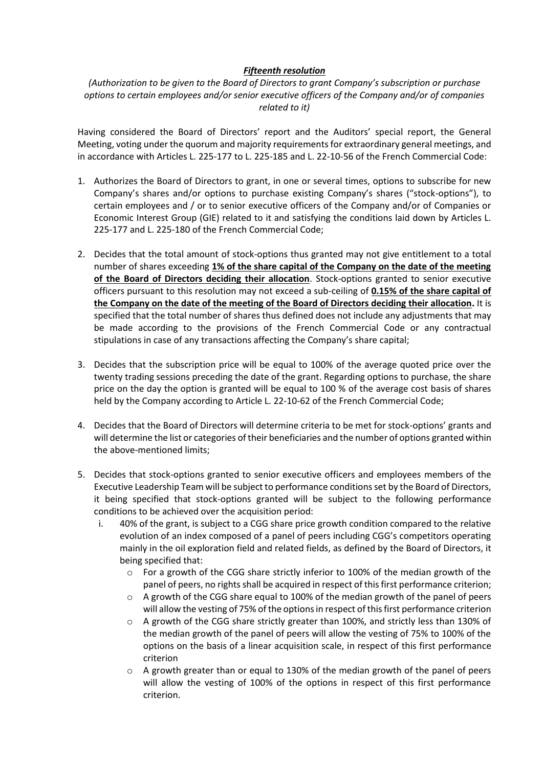### *Fifteenth resolution*

*(Authorization to be given to the Board of Directors to grant Company's subscription or purchase options to certain employees and/or senior executive officers of the Company and/or of companies related to it)*

Having considered the Board of Directors' report and the Auditors' special report, the General Meeting, voting under the quorum and majority requirements for extraordinary general meetings, and in accordance with Articles L. 225-177 to L. 225-185 and L. 22-10-56 of the French Commercial Code:

- 1. Authorizes the Board of Directors to grant, in one or several times, options to subscribe for new Company's shares and/or options to purchase existing Company's shares ("stock-options"), to certain employees and / or to senior executive officers of the Company and/or of Companies or Economic Interest Group (GIE) related to it and satisfying the conditions laid down by Articles L. 225-177 and L. 225-180 of the French Commercial Code;
- 2. Decides that the total amount of stock-options thus granted may not give entitlement to a total number of shares exceeding **1% of the share capital of the Company on the date of the meeting of the Board of Directors deciding their allocation**. Stock-options granted to senior executive officers pursuant to this resolution may not exceed a sub-ceiling of **0.15% of the share capital of the Company on the date of the meeting of the Board of Directors deciding their allocation.** It is specified that the total number of shares thus defined does not include any adjustments that may be made according to the provisions of the French Commercial Code or any contractual stipulations in case of any transactions affecting the Company's share capital;
- 3. Decides that the subscription price will be equal to 100% of the average quoted price over the twenty trading sessions preceding the date of the grant. Regarding options to purchase, the share price on the day the option is granted will be equal to 100 % of the average cost basis of shares held by the Company according to Article L. 22-10-62 of the French Commercial Code;
- 4. Decides that the Board of Directors will determine criteria to be met for stock-options' grants and will determine the list or categories of their beneficiaries and the number of options granted within the above-mentioned limits;
- 5. Decides that stock-options granted to senior executive officers and employees members of the Executive Leadership Team will be subject to performance conditions set by the Board of Directors, it being specified that stock-options granted will be subject to the following performance conditions to be achieved over the acquisition period:
	- i. 40% of the grant, is subject to a CGG share price growth condition compared to the relative evolution of an index composed of a panel of peers including CGG's competitors operating mainly in the oil exploration field and related fields, as defined by the Board of Directors, it being specified that:
		- $\circ$  For a growth of the CGG share strictly inferior to 100% of the median growth of the panel of peers, no rights shall be acquired in respect of this first performance criterion;
		- $\circ$  A growth of the CGG share equal to 100% of the median growth of the panel of peers will allow the vesting of 75% of the options in respect of this first performance criterion
		- o A growth of the CGG share strictly greater than 100%, and strictly less than 130% of the median growth of the panel of peers will allow the vesting of 75% to 100% of the options on the basis of a linear acquisition scale, in respect of this first performance criterion
		- $\circ$  A growth greater than or equal to 130% of the median growth of the panel of peers will allow the vesting of 100% of the options in respect of this first performance criterion.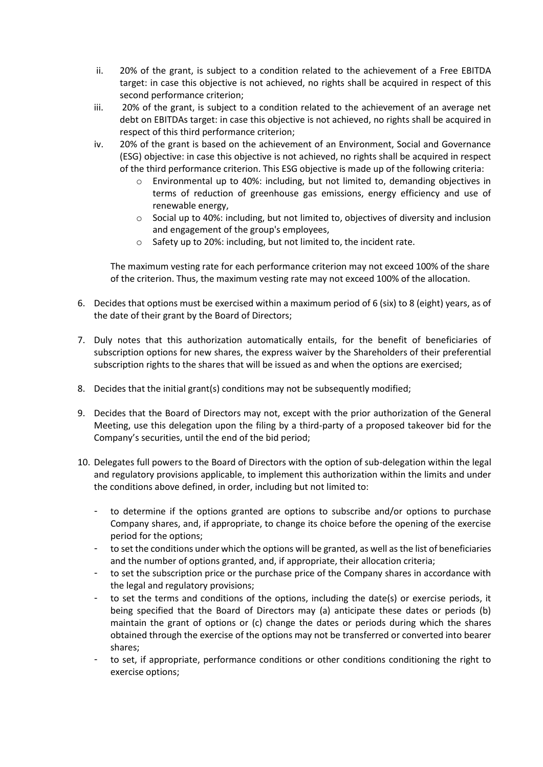- ii. 20% of the grant, is subject to a condition related to the achievement of a Free EBITDA target: in case this objective is not achieved, no rights shall be acquired in respect of this second performance criterion;
- iii. 20% of the grant, is subject to a condition related to the achievement of an average net debt on EBITDAs target: in case this objective is not achieved, no rights shall be acquired in respect of this third performance criterion;
- iv. 20% of the grant is based on the achievement of an Environment, Social and Governance (ESG) objective: in case this objective is not achieved, no rights shall be acquired in respect of the third performance criterion. This ESG objective is made up of the following criteria:
	- Environmental up to 40%: including, but not limited to, demanding objectives in terms of reduction of greenhouse gas emissions, energy efficiency and use of renewable energy,
	- o Social up to 40%: including, but not limited to, objectives of diversity and inclusion and engagement of the group's employees,
	- o Safety up to 20%: including, but not limited to, the incident rate.

The maximum vesting rate for each performance criterion may not exceed 100% of the share of the criterion. Thus, the maximum vesting rate may not exceed 100% of the allocation.

- 6. Decides that options must be exercised within a maximum period of 6 (six) to 8 (eight) years, as of the date of their grant by the Board of Directors;
- 7. Duly notes that this authorization automatically entails, for the benefit of beneficiaries of subscription options for new shares, the express waiver by the Shareholders of their preferential subscription rights to the shares that will be issued as and when the options are exercised;
- 8. Decides that the initial grant(s) conditions may not be subsequently modified;
- 9. Decides that the Board of Directors may not, except with the prior authorization of the General Meeting, use this delegation upon the filing by a third-party of a proposed takeover bid for the Company's securities, until the end of the bid period;
- 10. Delegates full powers to the Board of Directors with the option of sub-delegation within the legal and regulatory provisions applicable, to implement this authorization within the limits and under the conditions above defined, in order, including but not limited to:
	- to determine if the options granted are options to subscribe and/or options to purchase Company shares, and, if appropriate, to change its choice before the opening of the exercise period for the options;
	- to set the conditions under which the options will be granted, as well as the list of beneficiaries and the number of options granted, and, if appropriate, their allocation criteria;
	- to set the subscription price or the purchase price of the Company shares in accordance with the legal and regulatory provisions;
	- to set the terms and conditions of the options, including the date(s) or exercise periods, it being specified that the Board of Directors may (a) anticipate these dates or periods (b) maintain the grant of options or (c) change the dates or periods during which the shares obtained through the exercise of the options may not be transferred or converted into bearer shares;
	- to set, if appropriate, performance conditions or other conditions conditioning the right to exercise options;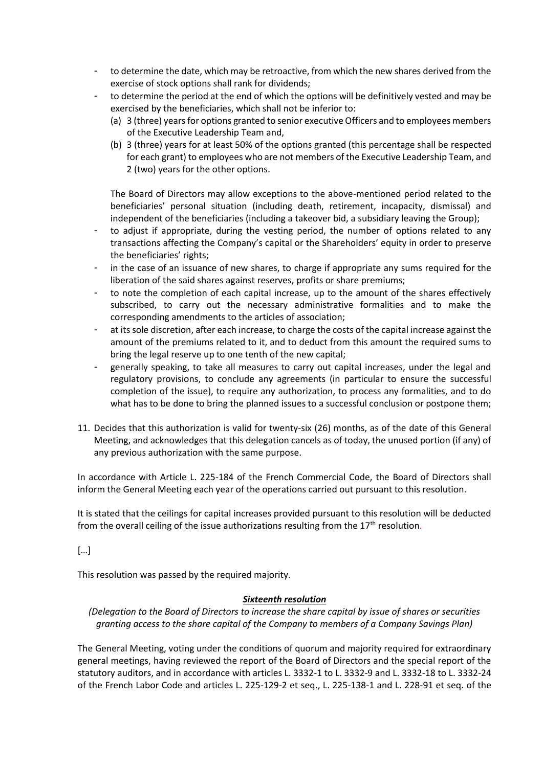- to determine the date, which may be retroactive, from which the new shares derived from the exercise of stock options shall rank for dividends;
- to determine the period at the end of which the options will be definitively vested and may be exercised by the beneficiaries, which shall not be inferior to:
	- (a) 3 (three) years for options granted to senior executive Officers and to employees members of the Executive Leadership Team and,
	- (b) 3 (three) years for at least 50% of the options granted (this percentage shall be respected for each grant) to employees who are not members of the Executive Leadership Team, and 2 (two) years for the other options.

The Board of Directors may allow exceptions to the above-mentioned period related to the beneficiaries' personal situation (including death, retirement, incapacity, dismissal) and independent of the beneficiaries (including a takeover bid, a subsidiary leaving the Group);

- to adjust if appropriate, during the vesting period, the number of options related to any transactions affecting the Company's capital or the Shareholders' equity in order to preserve the beneficiaries' rights;
- in the case of an issuance of new shares, to charge if appropriate any sums required for the liberation of the said shares against reserves, profits or share premiums;
- to note the completion of each capital increase, up to the amount of the shares effectively subscribed, to carry out the necessary administrative formalities and to make the corresponding amendments to the articles of association;
- at its sole discretion, after each increase, to charge the costs of the capital increase against the amount of the premiums related to it, and to deduct from this amount the required sums to bring the legal reserve up to one tenth of the new capital;
- generally speaking, to take all measures to carry out capital increases, under the legal and regulatory provisions, to conclude any agreements (in particular to ensure the successful completion of the issue), to require any authorization, to process any formalities, and to do what has to be done to bring the planned issues to a successful conclusion or postpone them;
- 11. Decides that this authorization is valid for twenty-six (26) months, as of the date of this General Meeting, and acknowledges that this delegation cancels as of today, the unused portion (if any) of any previous authorization with the same purpose.

In accordance with Article L. 225-184 of the French Commercial Code, the Board of Directors shall inform the General Meeting each year of the operations carried out pursuant to this resolution.

It is stated that the ceilings for capital increases provided pursuant to this resolution will be deducted from the overall ceiling of the issue authorizations resulting from the  $17<sup>th</sup>$  resolution.

[…]

This resolution was passed by the required majority.

### *Sixteenth resolution*

*(Delegation to the Board of Directors to increase the share capital by issue of shares or securities granting access to the share capital of the Company to members of a Company Savings Plan)*

The General Meeting, voting under the conditions of quorum and majority required for extraordinary general meetings, having reviewed the report of the Board of Directors and the special report of the statutory auditors, and in accordance with articles L. 3332-1 to L. 3332-9 and L. 3332-18 to L. 3332-24 of the French Labor Code and articles L. 225-129-2 et seq., L. 225-138-1 and L. 228-91 et seq. of the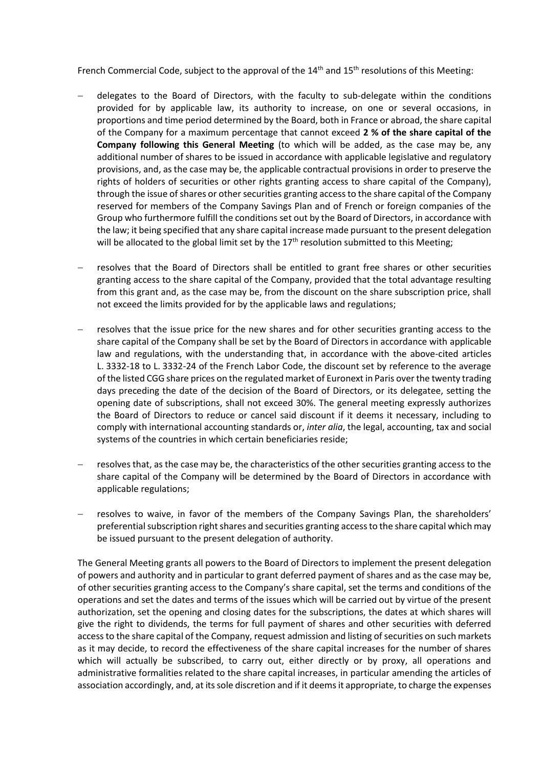French Commercial Code, subject to the approval of the 14<sup>th</sup> and 15<sup>th</sup> resolutions of this Meeting:

- delegates to the Board of Directors, with the faculty to sub-delegate within the conditions provided for by applicable law, its authority to increase, on one or several occasions, in proportions and time period determined by the Board, both in France or abroad, the share capital of the Company for a maximum percentage that cannot exceed **2 % of the share capital of the Company following this General Meeting** (to which will be added, as the case may be, any additional number of shares to be issued in accordance with applicable legislative and regulatory provisions, and, as the case may be, the applicable contractual provisions in order to preserve the rights of holders of securities or other rights granting access to share capital of the Company), through the issue of shares or other securities granting access to the share capital of the Company reserved for members of the Company Savings Plan and of French or foreign companies of the Group who furthermore fulfill the conditions set out by the Board of Directors, in accordance with the law; it being specified that any share capital increase made pursuant to the present delegation will be allocated to the global limit set by the  $17<sup>th</sup>$  resolution submitted to this Meeting;
- resolves that the Board of Directors shall be entitled to grant free shares or other securities granting access to the share capital of the Company, provided that the total advantage resulting from this grant and, as the case may be, from the discount on the share subscription price, shall not exceed the limits provided for by the applicable laws and regulations;
- resolves that the issue price for the new shares and for other securities granting access to the share capital of the Company shall be set by the Board of Directors in accordance with applicable law and regulations, with the understanding that, in accordance with the above-cited articles L. 3332-18 to L. 3332-24 of the French Labor Code, the discount set by reference to the average of the listed CGG share prices on the regulated market of Euronext in Paris over the twenty trading days preceding the date of the decision of the Board of Directors, or its delegatee, setting the opening date of subscriptions, shall not exceed 30%. The general meeting expressly authorizes the Board of Directors to reduce or cancel said discount if it deems it necessary, including to comply with international accounting standards or, *inter alia*, the legal, accounting, tax and social systems of the countries in which certain beneficiaries reside;
- − resolves that, as the case may be, the characteristics of the other securities granting access to the share capital of the Company will be determined by the Board of Directors in accordance with applicable regulations;
- − resolves to waive, in favor of the members of the Company Savings Plan, the shareholders' preferential subscription right shares and securities granting access to the share capital which may be issued pursuant to the present delegation of authority.

The General Meeting grants all powers to the Board of Directors to implement the present delegation of powers and authority and in particular to grant deferred payment of shares and as the case may be, of other securities granting access to the Company's share capital, set the terms and conditions of the operations and set the dates and terms of the issues which will be carried out by virtue of the present authorization, set the opening and closing dates for the subscriptions, the dates at which shares will give the right to dividends, the terms for full payment of shares and other securities with deferred access to the share capital of the Company, request admission and listing of securities on such markets as it may decide, to record the effectiveness of the share capital increases for the number of shares which will actually be subscribed, to carry out, either directly or by proxy, all operations and administrative formalities related to the share capital increases, in particular amending the articles of association accordingly, and, at its sole discretion and if it deems it appropriate, to charge the expenses